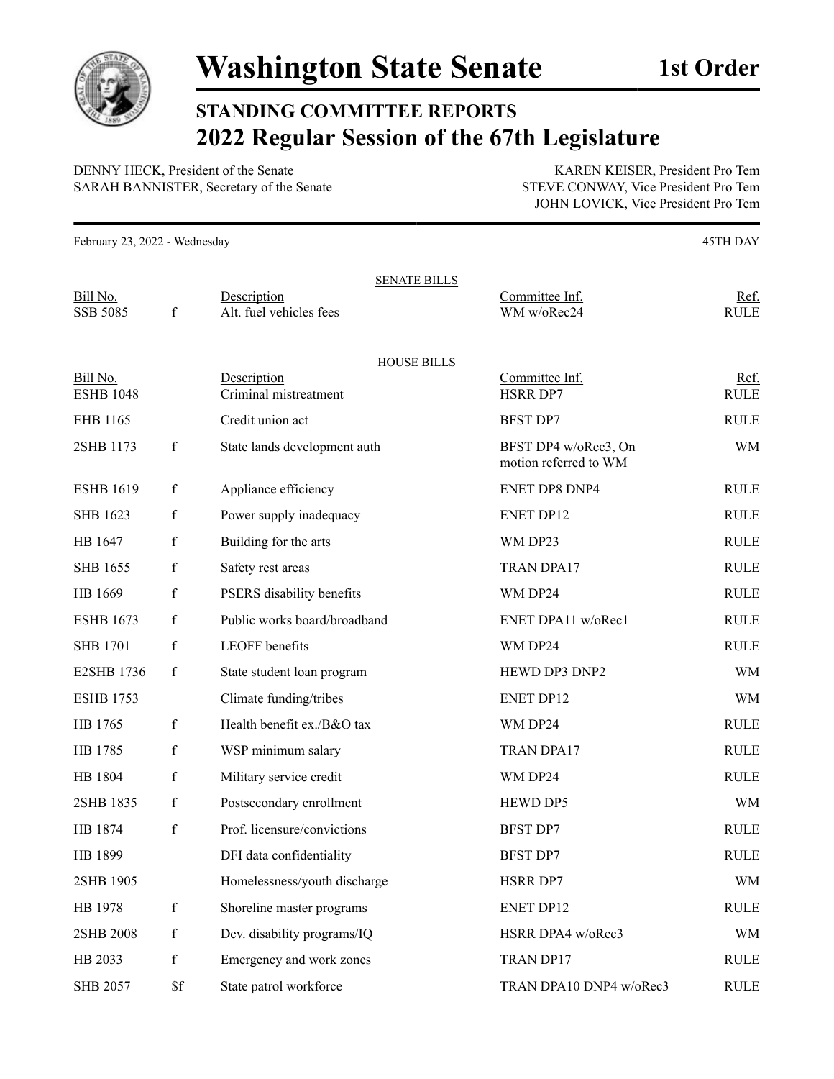

## **STANDING COMMITTEE REPORTS 2022 Regular Session of the 67th Legislature**

DENNY HECK, President of the Senate KAREN KEISER, President Pro Tem SARAH BANNISTER, Secretary of the Senate STEVE CONWAY, Vice President Pro Tem

JOHN LOVICK, Vice President Pro Tem

February 23, 2022 - Wednesday 45TH DAY SENATE BILLS Bill No. Sesseription Description Committee Inf. Ref. SSB 5085 f Alt. fuel vehicles fees WM w/oRec24 RULE HOUSE BILLS Bill No. Sesseription Description Committee Inf. Ref. ESHB 1048 Criminal mistreatment HSRR DP7 RULE EHB 1165 Credit union act BFST DP7 RULE 2SHB 1173 f State lands development auth BFST DP4 w/oRec3, On motion referred to WM WM ESHB 1619 f Appliance efficiency ENET DP8 DNP4 RULE SHB 1623 f Power supply inadequacy ENET DP12 RULE HB 1647 f Building for the arts WM DP23 RULE SHB 1655 f Safety rest areas TRAN DPA17 RULE HB 1669 f PSERS disability benefits WM DP24 RULE ESHB 1673 f Public works board/broadband ENET DPA11 w/oRec1 RULE SHB 1701 f LEOFF benefits WM DP24 RULE E2SHB 1736 f State student loan program HEWD DP3 DNP2 WM ESHB 1753 Climate funding/tribes ENET DP12 WM HB 1765 f Health benefit ex./B&O tax WM DP24 RULE HB 1785 f WSP minimum salary TRAN DPA17 RULE HB 1804 f Military service credit WM DP24 RULE 2SHB 1835 f Postsecondary enrollment HEWD DP5 WM HB 1874 f Prof. licensure/convictions BFST DP7 RULE HB 1899 **DFI** data confidentiality **BFST DP7 RULE** 2SHB 1905 Homelessness/youth discharge HSRR DP7 WM HB 1978 f Shoreline master programs ENET DP12 RULE 2SHB 2008 f Dev. disability programs/IQ HSRR DPA4 w/oRec3 WM HB 2033 f Emergency and work zones TRAN DP17 RULE SHB 2057 \$f State patrol workforce TRAN DPA10 DNP4 w/oRec3 RULE